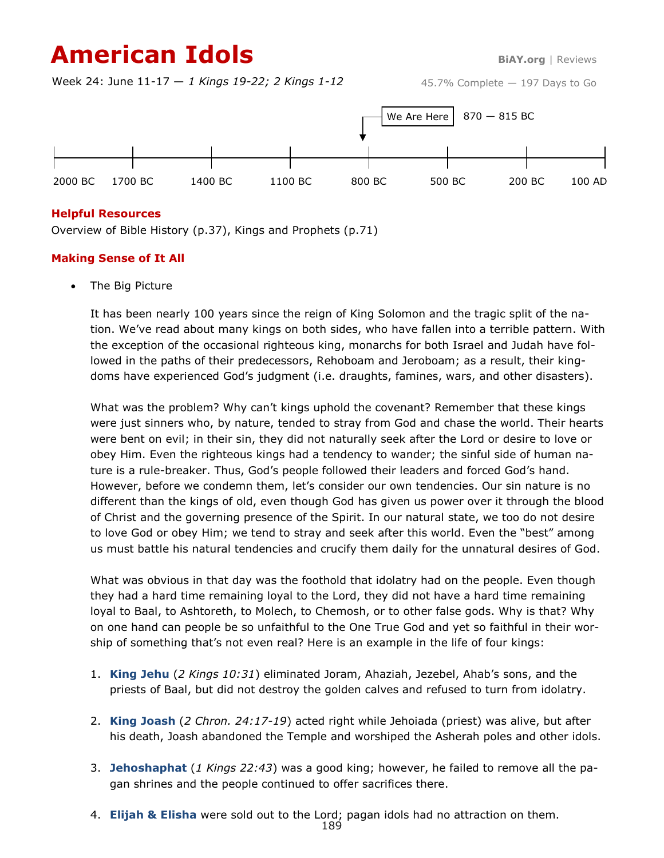# **American Idols BiAY.org** | Reviews

Week 24: June 11-17 — *1 Kings 19-22; 2 Kings 1-12*

45.7% Complete — 197 Days to Go



### **Helpful Resources**

Overview of Bible History (p.37), Kings and Prophets (p.71)

### **Making Sense of It All**

• The Big Picture

It has been nearly 100 years since the reign of King Solomon and the tragic split of the nation. We've read about many kings on both sides, who have fallen into a terrible pattern. With the exception of the occasional righteous king, monarchs for both Israel and Judah have followed in the paths of their predecessors, Rehoboam and Jeroboam; as a result, their kingdoms have experienced God's judgment (i.e. draughts, famines, wars, and other disasters).

What was the problem? Why can't kings uphold the covenant? Remember that these kings were just sinners who, by nature, tended to stray from God and chase the world. Their hearts were bent on evil; in their sin, they did not naturally seek after the Lord or desire to love or obey Him. Even the righteous kings had a tendency to wander; the sinful side of human nature is a rule-breaker. Thus, God's people followed their leaders and forced God's hand. However, before we condemn them, let's consider our own tendencies. Our sin nature is no different than the kings of old, even though God has given us power over it through the blood of Christ and the governing presence of the Spirit. In our natural state, we too do not desire to love God or obey Him; we tend to stray and seek after this world. Even the "best" among us must battle his natural tendencies and crucify them daily for the unnatural desires of God.

What was obvious in that day was the foothold that idolatry had on the people. Even though they had a hard time remaining loyal to the Lord, they did not have a hard time remaining loyal to Baal, to Ashtoreth, to Molech, to Chemosh, or to other false gods. Why is that? Why on one hand can people be so unfaithful to the One True God and yet so faithful in their worship of something that's not even real? Here is an example in the life of four kings:

- 1. **King Jehu** (*2 Kings 10:31*) eliminated Joram, Ahaziah, Jezebel, Ahab's sons, and the priests of Baal, but did not destroy the golden calves and refused to turn from idolatry.
- 2. **King Joash** (*2 Chron. 24:17-19*) acted right while Jehoiada (priest) was alive, but after his death, Joash abandoned the Temple and worshiped the Asherah poles and other idols.
- 3. **Jehoshaphat** (*1 Kings 22:43*) was a good king; however, he failed to remove all the pagan shrines and the people continued to offer sacrifices there.
- 4. **Elijah & Elisha** were sold out to the Lord; pagan idols had no attraction on them.